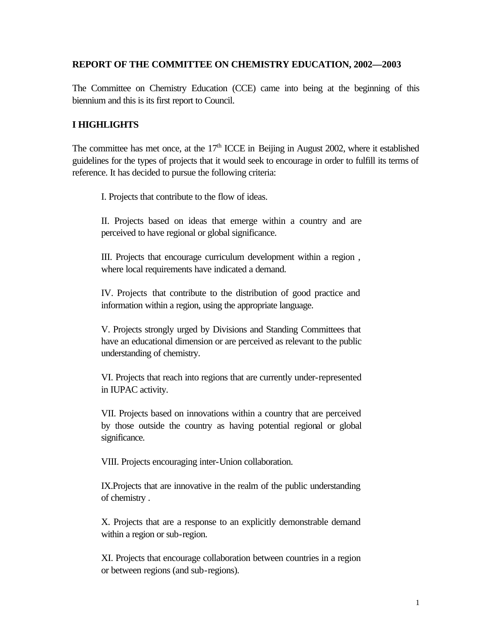## **REPORT OF THE COMMITTEE ON CHEMISTRY EDUCATION, 2002—2003**

The Committee on Chemistry Education (CCE) came into being at the beginning of this biennium and this is its first report to Council.

## **I HIGHLIGHTS**

The committee has met once, at the  $17<sup>th</sup>$  ICCE in Beijing in August 2002, where it established guidelines for the types of projects that it would seek to encourage in order to fulfill its terms of reference. It has decided to pursue the following criteria:

I. Projects that contribute to the flow of ideas.

II. Projects based on ideas that emerge within a country and are perceived to have regional or global significance.

III. Projects that encourage curriculum development within a region , where local requirements have indicated a demand.

IV. Projects that contribute to the distribution of good practice and information within a region, using the appropriate language.

V. Projects strongly urged by Divisions and Standing Committees that have an educational dimension or are perceived as relevant to the public understanding of chemistry.

VI. Projects that reach into regions that are currently under-represented in IUPAC activity.

VII. Projects based on innovations within a country that are perceived by those outside the country as having potential regional or global significance.

VIII. Projects encouraging inter-Union collaboration.

IX.Projects that are innovative in the realm of the public understanding of chemistry .

X. Projects that are a response to an explicitly demonstrable demand within a region or sub-region.

XI. Projects that encourage collaboration between countries in a region or between regions (and sub-regions).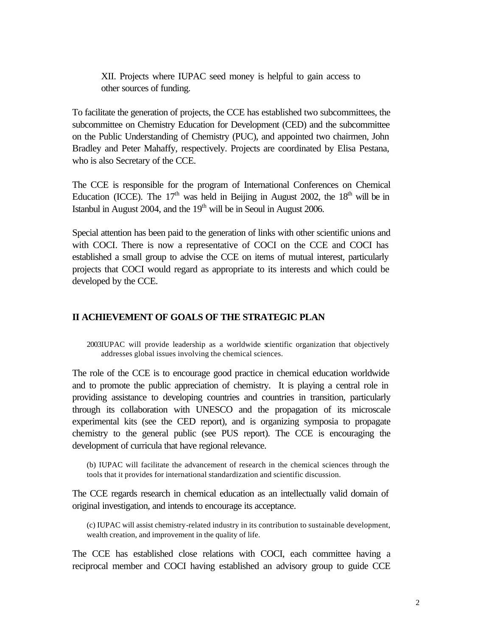XII. Projects where IUPAC seed money is helpful to gain access to other sources of funding.

To facilitate the generation of projects, the CCE has established two subcommittees, the subcommittee on Chemistry Education for Development (CED) and the subcommittee on the Public Understanding of Chemistry (PUC), and appointed two chairmen, John Bradley and Peter Mahaffy, respectively. Projects are coordinated by Elisa Pestana, who is also Secretary of the CCE.

The CCE is responsible for the program of International Conferences on Chemical Education (ICCE). The  $17<sup>th</sup>$  was held in Beijing in August 2002, the  $18<sup>th</sup>$  will be in Istanbul in August 2004, and the  $19<sup>th</sup>$  will be in Seoul in August 2006.

Special attention has been paid to the generation of links with other scientific unions and with COCI. There is now a representative of COCI on the CCE and COCI has established a small group to advise the CCE on items of mutual interest, particularly projects that COCI would regard as appropriate to its interests and which could be developed by the CCE.

### **II ACHIEVEMENT OF GOALS OF THE STRATEGIC PLAN**

2003IUPAC will provide leadership as a worldwide scientific organization that objectively addresses global issues involving the chemical sciences.

The role of the CCE is to encourage good practice in chemical education worldwide and to promote the public appreciation of chemistry. It is playing a central role in providing assistance to developing countries and countries in transition, particularly through its collaboration with UNESCO and the propagation of its microscale experimental kits (see the CED report), and is organizing symposia to propagate chemistry to the general public (see PUS report). The CCE is encouraging the development of curricula that have regional relevance.

(b) IUPAC will facilitate the advancement of research in the chemical sciences through the tools that it provides for international standardization and scientific discussion.

The CCE regards research in chemical education as an intellectually valid domain of original investigation, and intends to encourage its acceptance.

(c) IUPAC will assist chemistry-related industry in its contribution to sustainable development, wealth creation, and improvement in the quality of life.

The CCE has established close relations with COCI, each committee having a reciprocal member and COCI having established an advisory group to guide CCE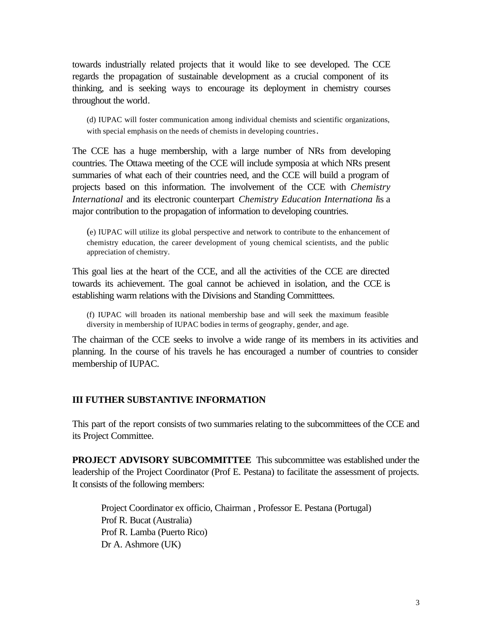towards industrially related projects that it would like to see developed. The CCE regards the propagation of sustainable development as a crucial component of its thinking, and is seeking ways to encourage its deployment in chemistry courses throughout the world.

(d) IUPAC will foster communication among individual chemists and scientific organizations, with special emphasis on the needs of chemists in developing countries.

The CCE has a huge membership, with a large number of NRs from developing countries. The Ottawa meeting of the CCE will include symposia at which NRs present summaries of what each of their countries need, and the CCE will build a program of projects based on this information. The involvement of the CCE with *Chemistry International* and its electronic counterpart *Chemistry Education Internationa l*is a major contribution to the propagation of information to developing countries.

(e) IUPAC will utilize its global perspective and network to contribute to the enhancement of chemistry education, the career development of young chemical scientists, and the public appreciation of chemistry.

This goal lies at the heart of the CCE, and all the activities of the CCE are directed towards its achievement. The goal cannot be achieved in isolation, and the CCE is establishing warm relations with the Divisions and Standing Committtees.

(f) IUPAC will broaden its national membership base and will seek the maximum feasible diversity in membership of IUPAC bodies in terms of geography, gender, and age.

The chairman of the CCE seeks to involve a wide range of its members in its activities and planning. In the course of his travels he has encouraged a number of countries to consider membership of IUPAC.

### **III FUTHER SUBSTANTIVE INFORMATION**

This part of the report consists of two summaries relating to the subcommittees of the CCE and its Project Committee.

**PROJECT ADVISORY SUBCOMMITTEE** This subcommittee was established under the leadership of the Project Coordinator (Prof E. Pestana) to facilitate the assessment of projects. It consists of the following members:

Project Coordinator ex officio, Chairman , Professor E. Pestana (Portugal) Prof R. Bucat (Australia) Prof R. Lamba (Puerto Rico) Dr A. Ashmore (UK)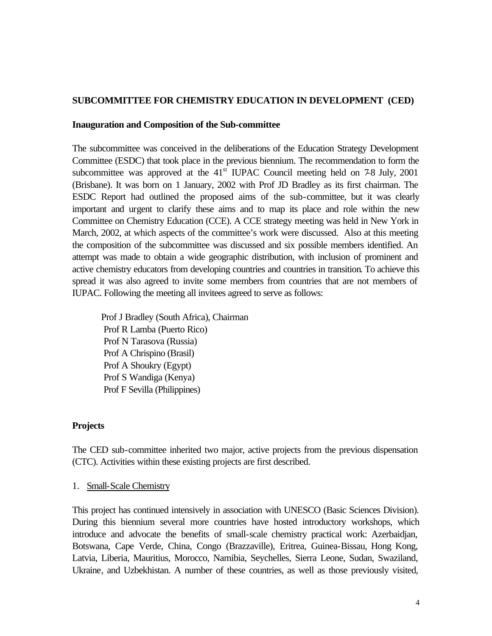### **SUBCOMMITTEE FOR CHEMISTRY EDUCATION IN DEVELOPMENT (CED)**

#### **Inauguration and Composition of the Sub-committee**

The subcommittee was conceived in the deliberations of the Education Strategy Development Committee (ESDC) that took place in the previous biennium. The recommendation to form the subcommittee was approved at the  $41<sup>st</sup>$  IUPAC Council meeting held on 7-8 July, 2001 (Brisbane). It was born on 1 January, 2002 with Prof JD Bradley as its first chairman. The ESDC Report had outlined the proposed aims of the sub-committee, but it was clearly important and urgent to clarify these aims and to map its place and role within the new Committee on Chemistry Education (CCE). A CCE strategy meeting was held in New York in March, 2002, at which aspects of the committee's work were discussed. Also at this meeting the composition of the subcommittee was discussed and six possible members identified. An attempt was made to obtain a wide geographic distribution, with inclusion of prominent and active chemistry educators from developing countries and countries in transition. To achieve this spread it was also agreed to invite some members from countries that are not members of IUPAC. Following the meeting all invitees agreed to serve as follows:

Prof J Bradley (South Africa), Chairman Prof R Lamba (Puerto Rico) Prof N Tarasova (Russia) Prof A Chrispino (Brasil) Prof A Shoukry (Egypt) Prof S Wandiga (Kenya) Prof F Sevilla (Philippines)

### **Projects**

The CED sub-committee inherited two major, active projects from the previous dispensation (CTC). Activities within these existing projects are first described.

#### 1. Small-Scale Chemistry

This project has continued intensively in association with UNESCO (Basic Sciences Division). During this biennium several more countries have hosted introductory workshops, which introduce and advocate the benefits of small-scale chemistry practical work: Azerbaidjan, Botswana, Cape Verde, China, Congo (Brazzaville), Eritrea, Guinea-Bissau, Hong Kong, Latvia, Liberia, Mauritius, Morocco, Namibia, Seychelles, Sierra Leone, Sudan, Swaziland, Ukraine, and Uzbekhistan. A number of these countries, as well as those previously visited,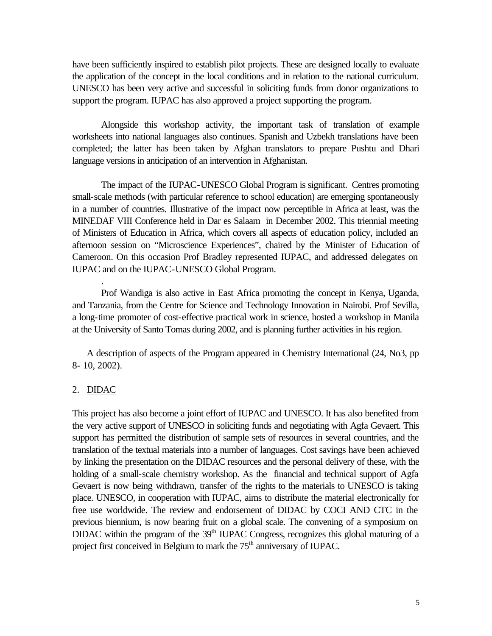have been sufficiently inspired to establish pilot projects. These are designed locally to evaluate the application of the concept in the local conditions and in relation to the national curriculum. UNESCO has been very active and successful in soliciting funds from donor organizations to support the program. IUPAC has also approved a project supporting the program.

Alongside this workshop activity, the important task of translation of example worksheets into national languages also continues. Spanish and Uzbekh translations have been completed; the latter has been taken by Afghan translators to prepare Pushtu and Dhari language versions in anticipation of an intervention in Afghanistan.

The impact of the IUPAC-UNESCO Global Program is significant. Centres promoting small-scale methods (with particular reference to school education) are emerging spontaneously in a number of countries. Illustrative of the impact now perceptible in Africa at least, was the MINEDAF VIII Conference held in Dar es Salaam in December 2002. This triennial meeting of Ministers of Education in Africa, which covers all aspects of education policy, included an afternoon session on "Microscience Experiences", chaired by the Minister of Education of Cameroon. On this occasion Prof Bradley represented IUPAC, and addressed delegates on IUPAC and on the IUPAC-UNESCO Global Program.

Prof Wandiga is also active in East Africa promoting the concept in Kenya, Uganda, and Tanzania, from the Centre for Science and Technology Innovation in Nairobi. Prof Sevilla, a long-time promoter of cost-effective practical work in science, hosted a workshop in Manila at the University of Santo Tomas during 2002, and is planning further activities in his region.

A description of aspects of the Program appeared in Chemistry International (24, No3, pp 8- 10, 2002).

#### 2. DIDAC

.

This project has also become a joint effort of IUPAC and UNESCO. It has also benefited from the very active support of UNESCO in soliciting funds and negotiating with Agfa Gevaert. This support has permitted the distribution of sample sets of resources in several countries, and the translation of the textual materials into a number of languages. Cost savings have been achieved by linking the presentation on the DIDAC resources and the personal delivery of these, with the holding of a small-scale chemistry workshop. As the financial and technical support of Agfa Gevaert is now being withdrawn, transfer of the rights to the materials to UNESCO is taking place. UNESCO, in cooperation with IUPAC, aims to distribute the material electronically for free use worldwide. The review and endorsement of DIDAC by COCI AND CTC in the previous biennium, is now bearing fruit on a global scale. The convening of a symposium on DIDAC within the program of the 39<sup>th</sup> IUPAC Congress, recognizes this global maturing of a project first conceived in Belgium to mark the 75<sup>th</sup> anniversary of IUPAC.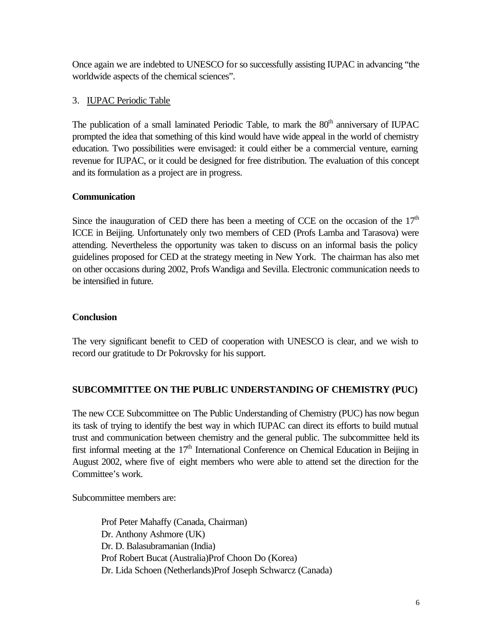Once again we are indebted to UNESCO for so successfully assisting IUPAC in advancing "the worldwide aspects of the chemical sciences".

# 3. IUPAC Periodic Table

The publication of a small laminated Periodic Table, to mark the 80<sup>th</sup> anniversary of IUPAC prompted the idea that something of this kind would have wide appeal in the world of chemistry education. Two possibilities were envisaged: it could either be a commercial venture, earning revenue for IUPAC, or it could be designed for free distribution. The evaluation of this concept and its formulation as a project are in progress.

# **Communication**

Since the inauguration of CED there has been a meeting of CCE on the occasion of the  $17<sup>th</sup>$ ICCE in Beijing. Unfortunately only two members of CED (Profs Lamba and Tarasova) were attending. Nevertheless the opportunity was taken to discuss on an informal basis the policy guidelines proposed for CED at the strategy meeting in New York. The chairman has also met on other occasions during 2002, Profs Wandiga and Sevilla. Electronic communication needs to be intensified in future.

## **Conclusion**

The very significant benefit to CED of cooperation with UNESCO is clear, and we wish to record our gratitude to Dr Pokrovsky for his support.

# **SUBCOMMITTEE ON THE PUBLIC UNDERSTANDING OF CHEMISTRY (PUC)**

The new CCE Subcommittee on The Public Understanding of Chemistry (PUC) has now begun its task of trying to identify the best way in which IUPAC can direct its efforts to build mutual trust and communication between chemistry and the general public. The subcommittee held its first informal meeting at the 17<sup>th</sup> International Conference on Chemical Education in Beijing in August 2002, where five of eight members who were able to attend set the direction for the Committee's work.

Subcommittee members are:

Prof Peter Mahaffy (Canada, Chairman) Dr. Anthony Ashmore (UK) Dr. D. Balasubramanian (India) Prof Robert Bucat (Australia)Prof Choon Do (Korea) Dr. Lida Schoen (Netherlands)Prof Joseph Schwarcz (Canada)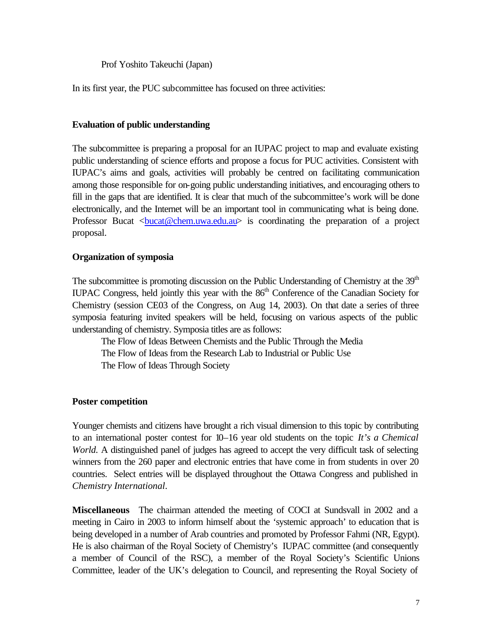Prof Yoshito Takeuchi (Japan)

In its first year, the PUC subcommittee has focused on three activities:

### **Evaluation of public understanding**

The subcommittee is preparing a proposal for an IUPAC project to map and evaluate existing public understanding of science efforts and propose a focus for PUC activities. Consistent with IUPAC's aims and goals, activities will probably be centred on facilitating communication among those responsible for on-going public understanding initiatives, and encouraging others to fill in the gaps that are identified. It is clear that much of the subcommittee's work will be done electronically, and the Internet will be an important tool in communicating what is being done. Professor Bucat <br/>bucat@chem.uwa.edu.au> is coordinating the preparation of a project proposal.

### **Organization of symposia**

The subcommittee is promoting discussion on the Public Understanding of Chemistry at the 39<sup>th</sup> IUPAC Congress, held jointly this year with the 86<sup>th</sup> Conference of the Canadian Society for Chemistry (session CE03 of the Congress, on Aug 14, 2003). On that date a series of three symposia featuring invited speakers will be held, focusing on various aspects of the public understanding of chemistry. Symposia titles are as follows:

The Flow of Ideas Between Chemists and the Public Through the Media The Flow of Ideas from the Research Lab to Industrial or Public Use The Flow of Ideas Through Society

#### **Poster competition**

Younger chemists and citizens have brought a rich visual dimension to this topic by contributing to an international poster contest for 10–16 year old students on the topic *It's a Chemical World.* A distinguished panel of judges has agreed to accept the very difficult task of selecting winners from the 260 paper and electronic entries that have come in from students in over 20 countries. Select entries will be displayed throughout the Ottawa Congress and published in *Chemistry International*.

**Miscellaneous** The chairman attended the meeting of COCI at Sundsvall in 2002 and a meeting in Cairo in 2003 to inform himself about the 'systemic approach' to education that is being developed in a number of Arab countries and promoted by Professor Fahmi (NR, Egypt). He is also chairman of the Royal Society of Chemistry's IUPAC committee (and consequently a member of Council of the RSC), a member of the Royal Society's Scientific Unions Committee, leader of the UK's delegation to Council, and representing the Royal Society of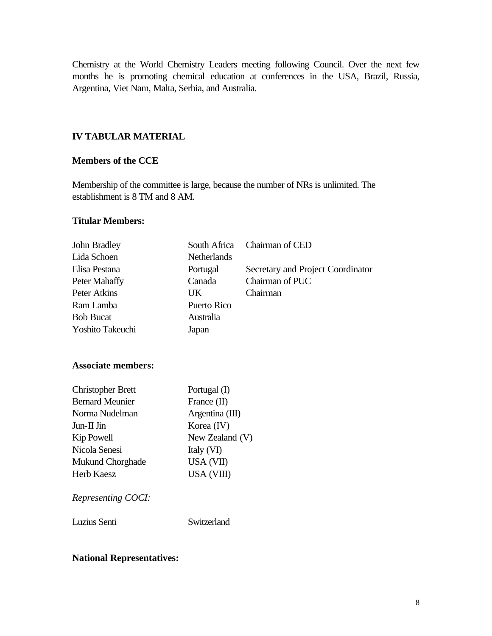Chemistry at the World Chemistry Leaders meeting following Council. Over the next few months he is promoting chemical education at conferences in the USA, Brazil, Russia, Argentina, Viet Nam, Malta, Serbia, and Australia.

# **IV TABULAR MATERIAL**

## **Members of the CCE**

Membership of the committee is large, because the number of NRs is unlimited. The establishment is 8 TM and 8 AM.

### **Titular Members:**

| Chairman of CED                   |  |  |
|-----------------------------------|--|--|
|                                   |  |  |
| Secretary and Project Coordinator |  |  |
| Chairman of PUC                   |  |  |
| Chairman                          |  |  |
|                                   |  |  |
|                                   |  |  |
|                                   |  |  |
|                                   |  |  |
|                                   |  |  |
|                                   |  |  |
|                                   |  |  |
| Korea (IV)                        |  |  |
| New Zealand (V)                   |  |  |
| Italy (VI)                        |  |  |
| USA (VII)                         |  |  |
|                                   |  |  |
|                                   |  |  |
|                                   |  |  |
|                                   |  |  |

# **National Representatives:**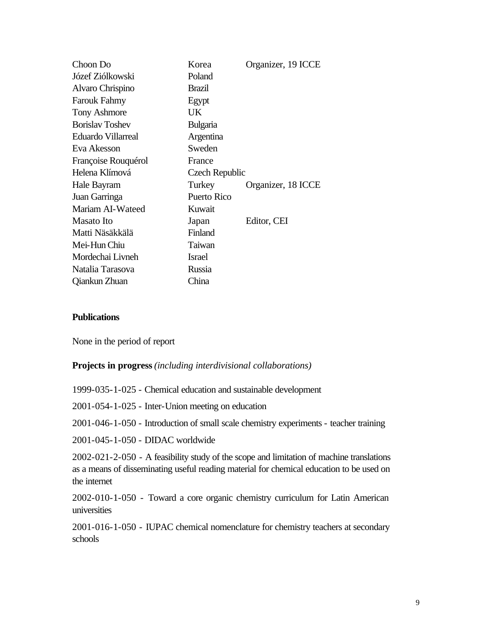| Choon Do               | Korea                 | Organizer, 19 ICCE |
|------------------------|-----------------------|--------------------|
| Józef Ziólkowski       | Poland                |                    |
| Alvaro Chrispino       | Brazil                |                    |
| <b>Farouk Fahmy</b>    | Egypt                 |                    |
| <b>Tony Ashmore</b>    | UK.                   |                    |
| <b>Borislay Toshev</b> | Bulgaria              |                    |
| Eduardo Villarreal     | Argentina             |                    |
| Eva Akesson            | Sweden                |                    |
| Françoise Rouquérol    | France                |                    |
| Helena Klímová         | <b>Czech Republic</b> |                    |
| Hale Bayram            | Turkey                | Organizer, 18 ICCE |
| Juan Garringa          | Puerto Rico           |                    |
| Mariam AI-Wateed       | Kuwait                |                    |
| Masato Ito             | Japan                 | Editor, CEI        |
| Matti Näsäkkälä        | Finland               |                    |
| Mei-Hun Chiu           | Taiwan                |                    |
| Mordechai Livneh       | <b>Israel</b>         |                    |
| Natalia Tarasova       | Russia                |                    |
| Qiankun Zhuan          | China                 |                    |

### **Publications**

None in the period of report

#### **Projects in progress** *(including interdivisional collaborations)*

1999-035-1-025 - Chemical education and sustainable development

2001-054-1-025 - Inter-Union meeting on education

2001-046-1-050 - Introduction of small scale chemistry experiments - teacher training

2001-045-1-050 - DIDAC worldwide

2002-021-2-050 - A feasibility study of the scope and limitation of machine translations as a means of disseminating useful reading material for chemical education to be used on the internet

2002-010-1-050 - Toward a core organic chemistry curriculum for Latin American universities

2001-016-1-050 - IUPAC chemical nomenclature for chemistry teachers at secondary schools